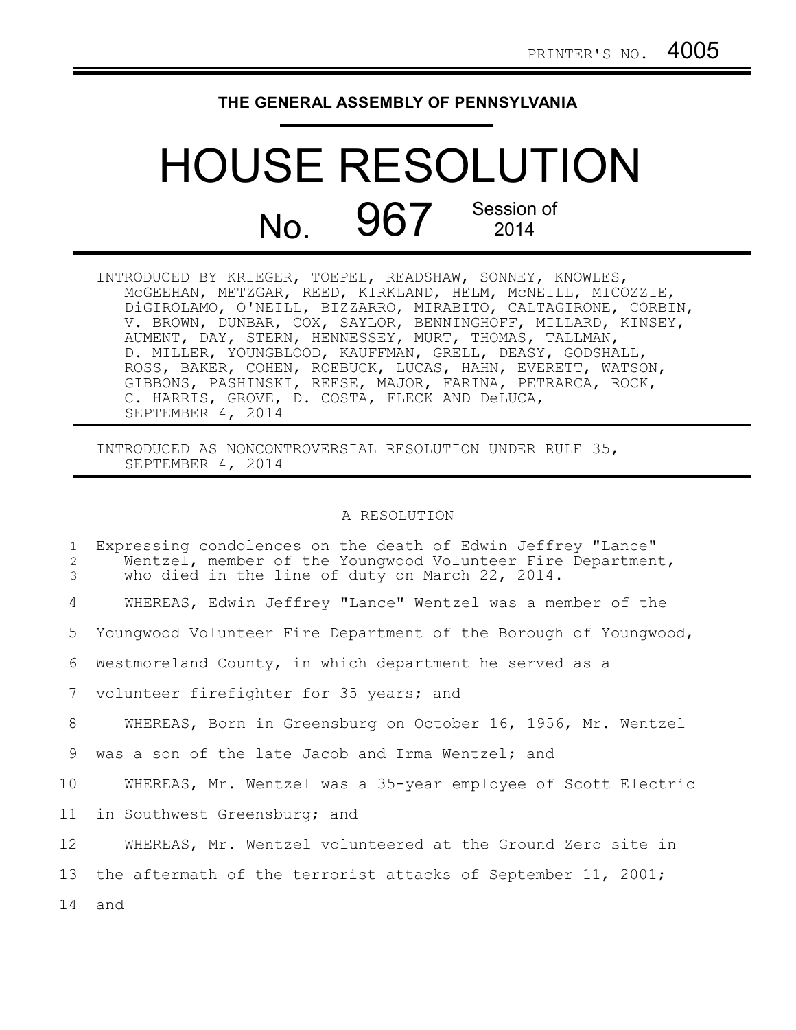## **THE GENERAL ASSEMBLY OF PENNSYLVANIA**

## HOUSE RESOLUTION No. 967 Session of 2014

INTRODUCED BY KRIEGER, TOEPEL, READSHAW, SONNEY, KNOWLES, McGEEHAN, METZGAR, REED, KIRKLAND, HELM, McNEILL, MICOZZIE, DiGIROLAMO, O'NEILL, BIZZARRO, MIRABITO, CALTAGIRONE, CORBIN, V. BROWN, DUNBAR, COX, SAYLOR, BENNINGHOFF, MILLARD, KINSEY, AUMENT, DAY, STERN, HENNESSEY, MURT, THOMAS, TALLMAN, D. MILLER, YOUNGBLOOD, KAUFFMAN, GRELL, DEASY, GODSHALL, ROSS, BAKER, COHEN, ROEBUCK, LUCAS, HAHN, EVERETT, WATSON, GIBBONS, PASHINSKI, REESE, MAJOR, FARINA, PETRARCA, ROCK, C. HARRIS, GROVE, D. COSTA, FLECK AND DeLUCA, SEPTEMBER 4, 2014

INTRODUCED AS NONCONTROVERSIAL RESOLUTION UNDER RULE 35, SEPTEMBER 4, 2014

## A RESOLUTION

| $\mathbf{1}$<br>2<br>3 | Expressing condolences on the death of Edwin Jeffrey "Lance"<br>Wentzel, member of the Youngwood Volunteer Fire Department,<br>who died in the line of duty on March 22, 2014. |
|------------------------|--------------------------------------------------------------------------------------------------------------------------------------------------------------------------------|
| 4                      | WHEREAS, Edwin Jeffrey "Lance" Wentzel was a member of the                                                                                                                     |
| 5                      | Youngwood Volunteer Fire Department of the Borough of Youngwood,                                                                                                               |
| 6                      | Westmoreland County, in which department he served as a                                                                                                                        |
| 7                      | volunteer firefighter for 35 years; and                                                                                                                                        |
| 8                      | WHEREAS, Born in Greensburg on October 16, 1956, Mr. Wentzel                                                                                                                   |
| 9                      | was a son of the late Jacob and Irma Wentzel; and                                                                                                                              |
| 10                     | WHEREAS, Mr. Wentzel was a 35-year employee of Scott Electric                                                                                                                  |
| 11 <sup>1</sup>        | in Southwest Greensburg; and                                                                                                                                                   |
| 12                     | WHEREAS, Mr. Wentzel volunteered at the Ground Zero site in                                                                                                                    |
| 13                     | the aftermath of the terrorist attacks of September 11, 2001;                                                                                                                  |
| 14                     | and                                                                                                                                                                            |